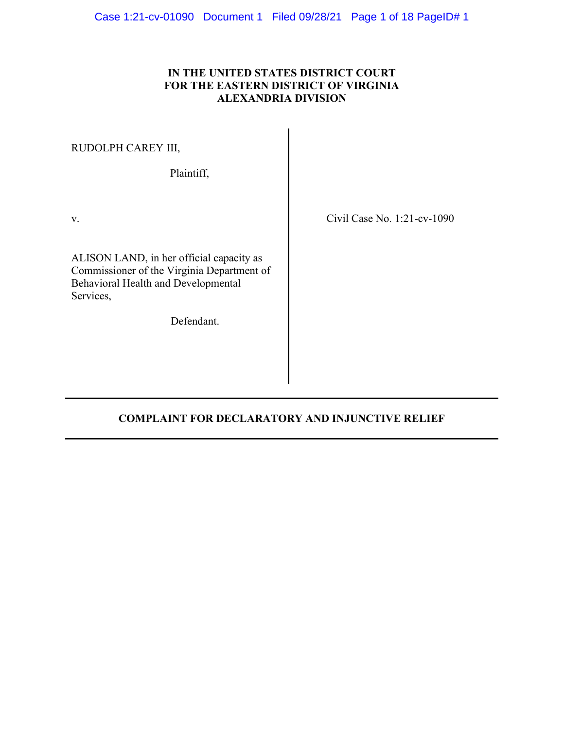## **IN THE UNITED STATES DISTRICT COURT FOR THE EASTERN DISTRICT OF VIRGINIA ALEXANDRIA DIVISION**

RUDOLPH CAREY III,

Plaintiff,

ALISON LAND, in her official capacity as Commissioner of the Virginia Department of Behavioral Health and Developmental Services,

Defendant.

v. Civil Case No. 1:21-cv-1090

# **COMPLAINT FOR DECLARATORY AND INJUNCTIVE RELIEF**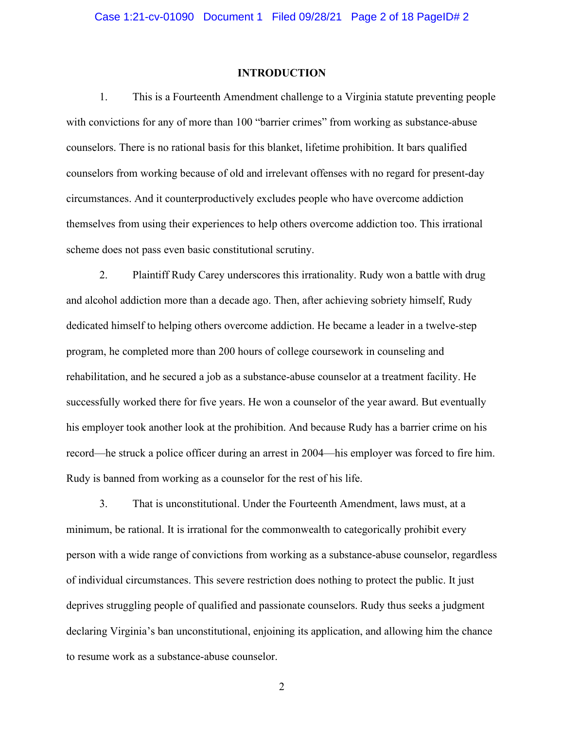### **INTRODUCTION**

<span id="page-1-0"></span>1. This is a Fourteenth Amendment challenge to a Virginia statute preventing people with convictions for any of more than 100 "barrier crimes" from working as substance-abuse counselors. There is no rational basis for this blanket, lifetime prohibition. It bars qualified counselors from working because of old and irrelevant offenses with no regard for present-day circumstances. And it counterproductively excludes people who have overcome addiction themselves from using their experiences to help others overcome addiction too. This irrational scheme does not pass even basic constitutional scrutiny.

2. Plaintiff Rudy Carey underscores this irrationality. Rudy won a battle with drug and alcohol addiction more than a decade ago. Then, after achieving sobriety himself, Rudy dedicated himself to helping others overcome addiction. He became a leader in a twelve-step program, he completed more than 200 hours of college coursework in counseling and rehabilitation, and he secured a job as a substance-abuse counselor at a treatment facility. He successfully worked there for five years. He won a counselor of the year award. But eventually his employer took another look at the prohibition. And because Rudy has a barrier crime on his record—he struck a police officer during an arrest in 2004—his employer was forced to fire him. Rudy is banned from working as a counselor for the rest of his life.

3. That is unconstitutional. Under the Fourteenth Amendment, laws must, at a minimum, be rational. It is irrational for the commonwealth to categorically prohibit every person with a wide range of convictions from working as a substance-abuse counselor, regardless of individual circumstances. This severe restriction does nothing to protect the public. It just deprives struggling people of qualified and passionate counselors. Rudy thus seeks a judgment declaring Virginia's ban unconstitutional, enjoining its application, and allowing him the chance to resume work as a substance-abuse counselor.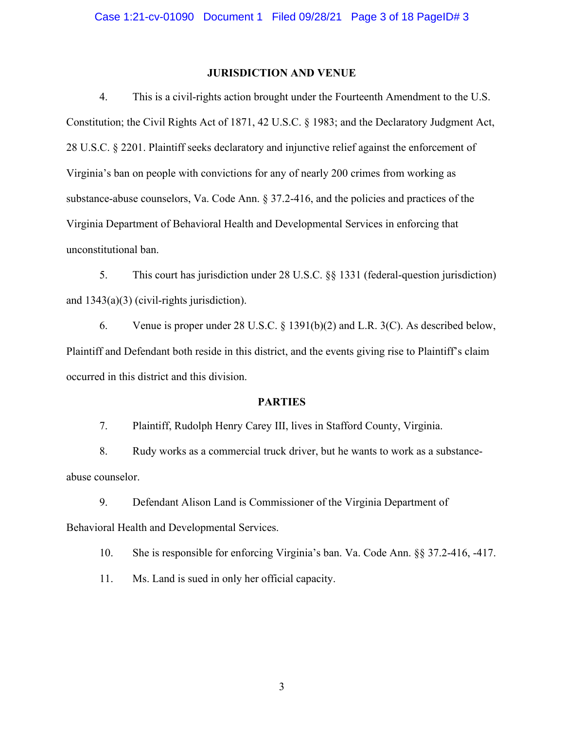### **JURISDICTION AND VENUE**

4. This is a civil-rights action brought under the Fourteenth Amendment to the U.S. Constitution; the Civil Rights Act of 1871, 42 U.S.C. § 1983; and the Declaratory Judgment Act, 28 U.S.C. § 2201. Plaintiff seeks declaratory and injunctive relief against the enforcement of Virginia's ban on people with convictions for any of nearly 200 crimes from working as substance-abuse counselors, Va. Code Ann. § 37.2-416, and the policies and practices of the Virginia Department of Behavioral Health and Developmental Services in enforcing that unconstitutional ban.

5. This court has jurisdiction under 28 U.S.C. §§ 1331 (federal-question jurisdiction) and 1343(a)(3) (civil-rights jurisdiction).

6. Venue is proper under 28 U.S.C. § 1391(b)(2) and L.R. 3(C). As described below, Plaintiff and Defendant both reside in this district, and the events giving rise to Plaintiff's claim occurred in this district and this division.

### **PARTIES**

7. Plaintiff, Rudolph Henry Carey III, lives in Stafford County, Virginia.

8. Rudy works as a commercial truck driver, but he wants to work as a substanceabuse counselor.

9. Defendant Alison Land is Commissioner of the Virginia Department of Behavioral Health and Developmental Services.

10. She is responsible for enforcing Virginia's ban. Va. Code Ann. §§ 37.2-416, -417.

11. Ms. Land is sued in only her official capacity.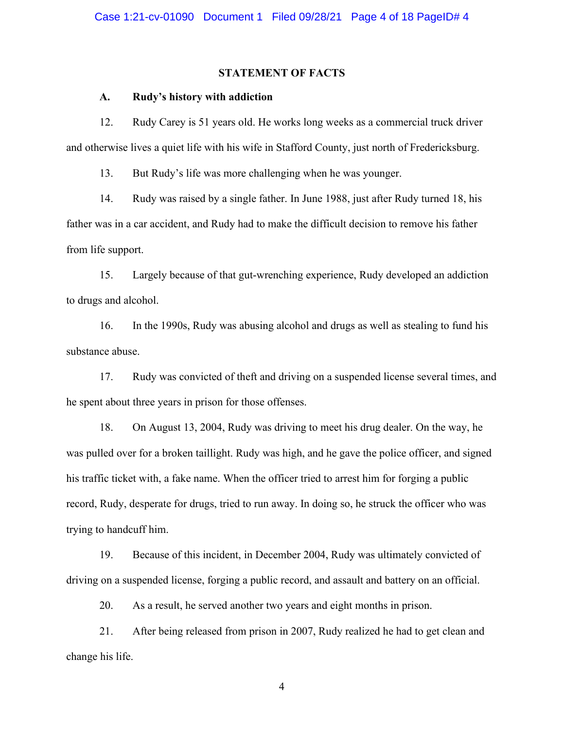### **STATEMENT OF FACTS**

#### **A. Rudy's history with addiction**

12. Rudy Carey is 51 years old. He works long weeks as a commercial truck driver and otherwise lives a quiet life with his wife in Stafford County, just north of Fredericksburg.

13. But Rudy's life was more challenging when he was younger.

14. Rudy was raised by a single father. In June 1988, just after Rudy turned 18, his father was in a car accident, and Rudy had to make the difficult decision to remove his father from life support.

15. Largely because of that gut-wrenching experience, Rudy developed an addiction to drugs and alcohol.

16. In the 1990s, Rudy was abusing alcohol and drugs as well as stealing to fund his substance abuse.

17. Rudy was convicted of theft and driving on a suspended license several times, and he spent about three years in prison for those offenses.

18. On August 13, 2004, Rudy was driving to meet his drug dealer. On the way, he was pulled over for a broken taillight. Rudy was high, and he gave the police officer, and signed his traffic ticket with, a fake name. When the officer tried to arrest him for forging a public record, Rudy, desperate for drugs, tried to run away. In doing so, he struck the officer who was trying to handcuff him.

19. Because of this incident, in December 2004, Rudy was ultimately convicted of driving on a suspended license, forging a public record, and assault and battery on an official.

20. As a result, he served another two years and eight months in prison.

21. After being released from prison in 2007, Rudy realized he had to get clean and change his life.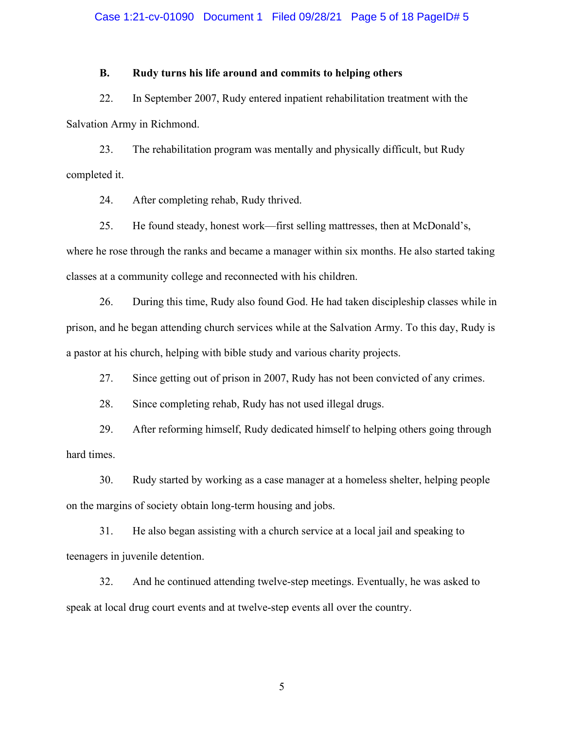#### Case 1:21-cv-01090 Document 1 Filed 09/28/21 Page 5 of 18 PageID# 5

### **B. Rudy turns his life around and commits to helping others**

22. In September 2007, Rudy entered inpatient rehabilitation treatment with the Salvation Army in Richmond.

23. The rehabilitation program was mentally and physically difficult, but Rudy completed it.

24. After completing rehab, Rudy thrived.

25. He found steady, honest work—first selling mattresses, then at McDonald's, where he rose through the ranks and became a manager within six months. He also started taking classes at a community college and reconnected with his children.

26. During this time, Rudy also found God. He had taken discipleship classes while in prison, and he began attending church services while at the Salvation Army. To this day, Rudy is a pastor at his church, helping with bible study and various charity projects.

27. Since getting out of prison in 2007, Rudy has not been convicted of any crimes.

28. Since completing rehab, Rudy has not used illegal drugs.

29. After reforming himself, Rudy dedicated himself to helping others going through hard times.

30. Rudy started by working as a case manager at a homeless shelter, helping people on the margins of society obtain long-term housing and jobs.

31. He also began assisting with a church service at a local jail and speaking to teenagers in juvenile detention.

32. And he continued attending twelve-step meetings. Eventually, he was asked to speak at local drug court events and at twelve-step events all over the country.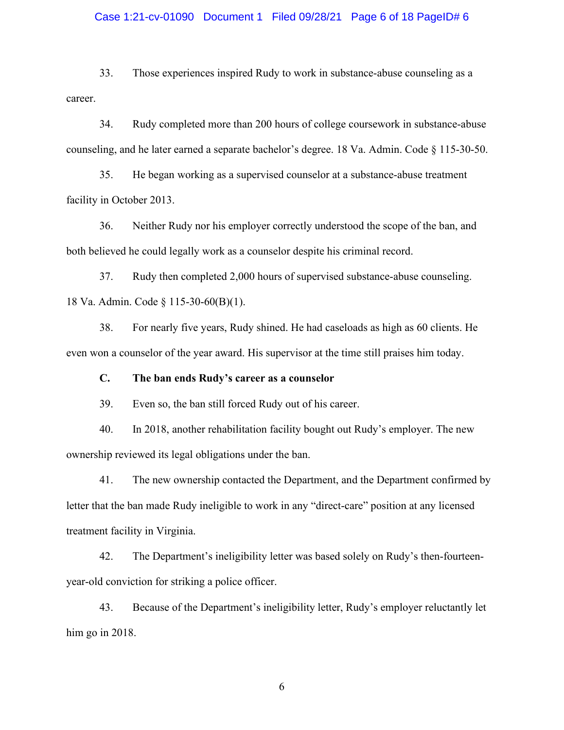#### Case 1:21-cv-01090 Document 1 Filed 09/28/21 Page 6 of 18 PageID# 6

33. Those experiences inspired Rudy to work in substance-abuse counseling as a career.

34. Rudy completed more than 200 hours of college coursework in substance-abuse counseling, and he later earned a separate bachelor's degree. 18 Va. Admin. Code § 115-30-50.

35. He began working as a supervised counselor at a substance-abuse treatment facility in October 2013.

36. Neither Rudy nor his employer correctly understood the scope of the ban, and both believed he could legally work as a counselor despite his criminal record.

37. Rudy then completed 2,000 hours of supervised substance-abuse counseling. 18 Va. Admin. Code § 115-30-60(B)(1).

38. For nearly five years, Rudy shined. He had caseloads as high as 60 clients. He even won a counselor of the year award. His supervisor at the time still praises him today.

**C. The ban ends Rudy's career as a counselor**

39. Even so, the ban still forced Rudy out of his career.

40. In 2018, another rehabilitation facility bought out Rudy's employer. The new ownership reviewed its legal obligations under the ban.

41. The new ownership contacted the Department, and the Department confirmed by letter that the ban made Rudy ineligible to work in any "direct-care" position at any licensed treatment facility in Virginia.

42. The Department's ineligibility letter was based solely on Rudy's then-fourteenyear-old conviction for striking a police officer.

43. Because of the Department's ineligibility letter, Rudy's employer reluctantly let him go in 2018.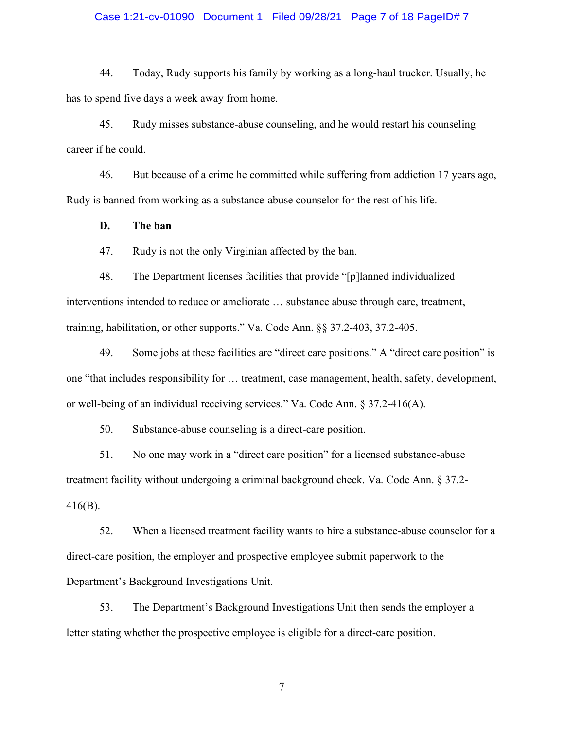### Case 1:21-cv-01090 Document 1 Filed 09/28/21 Page 7 of 18 PageID# 7

44. Today, Rudy supports his family by working as a long-haul trucker. Usually, he has to spend five days a week away from home.

45. Rudy misses substance-abuse counseling, and he would restart his counseling career if he could.

46. But because of a crime he committed while suffering from addiction 17 years ago, Rudy is banned from working as a substance-abuse counselor for the rest of his life.

**D. The ban**

47. Rudy is not the only Virginian affected by the ban.

48. The Department licenses facilities that provide "[p]lanned individualized interventions intended to reduce or ameliorate … substance abuse through care, treatment, training, habilitation, or other supports." Va. Code Ann. §§ 37.2-403, 37.2-405.

49. Some jobs at these facilities are "direct care positions." A "direct care position" is one "that includes responsibility for … treatment, case management, health, safety, development, or well-being of an individual receiving services." Va. Code Ann. § 37.2-416(A).

50. Substance-abuse counseling is a direct-care position.

51. No one may work in a "direct care position" for a licensed substance-abuse treatment facility without undergoing a criminal background check. Va. Code Ann. § 37.2- 416(B).

52. When a licensed treatment facility wants to hire a substance-abuse counselor for a direct-care position, the employer and prospective employee submit paperwork to the Department's Background Investigations Unit.

53. The Department's Background Investigations Unit then sends the employer a letter stating whether the prospective employee is eligible for a direct-care position.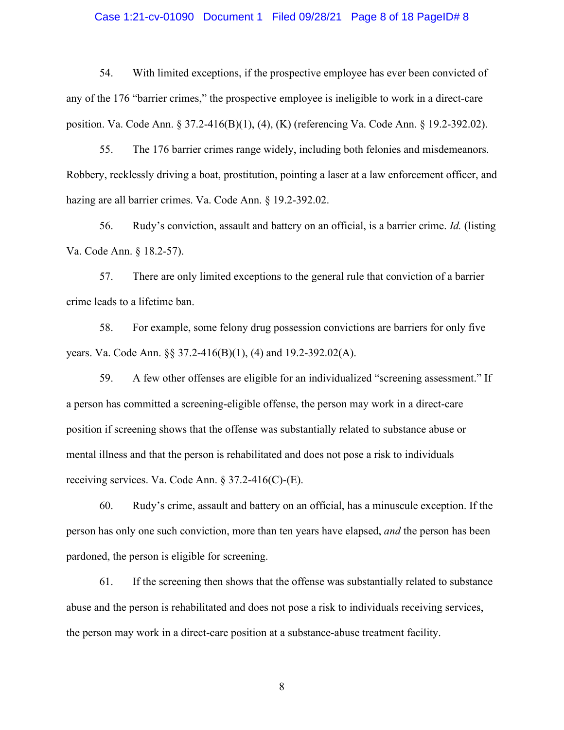#### Case 1:21-cv-01090 Document 1 Filed 09/28/21 Page 8 of 18 PageID# 8

54. With limited exceptions, if the prospective employee has ever been convicted of any of the 176 "barrier crimes," the prospective employee is ineligible to work in a direct-care position. Va. Code Ann. § 37.2-416(B)(1), (4), (K) (referencing Va. Code Ann. § 19.2-392.02).

55. The 176 barrier crimes range widely, including both felonies and misdemeanors. Robbery, recklessly driving a boat, prostitution, pointing a laser at a law enforcement officer, and hazing are all barrier crimes. Va. Code Ann. § 19.2-392.02.

56. Rudy's conviction, assault and battery on an official, is a barrier crime. *Id.* (listing Va. Code Ann. § 18.2-57).

57. There are only limited exceptions to the general rule that conviction of a barrier crime leads to a lifetime ban.

58. For example, some felony drug possession convictions are barriers for only five years. Va. Code Ann. §§ 37.2-416(B)(1), (4) and 19.2-392.02(A).

59. A few other offenses are eligible for an individualized "screening assessment." If a person has committed a screening-eligible offense, the person may work in a direct-care position if screening shows that the offense was substantially related to substance abuse or mental illness and that the person is rehabilitated and does not pose a risk to individuals receiving services. Va. Code Ann. § 37.2-416(C)-(E).

60. Rudy's crime, assault and battery on an official, has a minuscule exception. If the person has only one such conviction, more than ten years have elapsed, *and* the person has been pardoned, the person is eligible for screening.

61. If the screening then shows that the offense was substantially related to substance abuse and the person is rehabilitated and does not pose a risk to individuals receiving services, the person may work in a direct-care position at a substance-abuse treatment facility.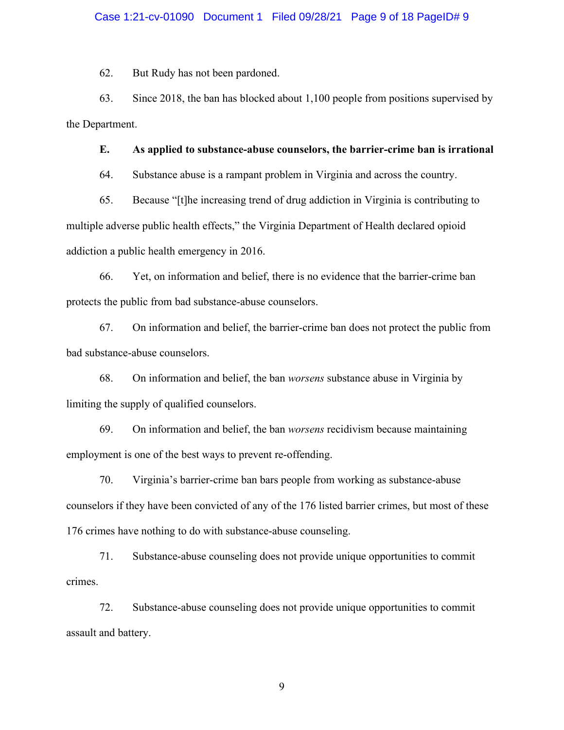#### Case 1:21-cv-01090 Document 1 Filed 09/28/21 Page 9 of 18 PageID# 9

62. But Rudy has not been pardoned.

63. Since 2018, the ban has blocked about 1,100 people from positions supervised by the Department.

### **E. As applied to substance-abuse counselors, the barrier-crime ban is irrational**

64. Substance abuse is a rampant problem in Virginia and across the country.

65. Because "[t]he increasing trend of drug addiction in Virginia is contributing to multiple adverse public health effects," the Virginia Department of Health declared opioid addiction a public health emergency in 2016.

66. Yet, on information and belief, there is no evidence that the barrier-crime ban protects the public from bad substance-abuse counselors.

67. On information and belief, the barrier-crime ban does not protect the public from bad substance-abuse counselors.

68. On information and belief, the ban *worsens* substance abuse in Virginia by limiting the supply of qualified counselors.

69. On information and belief, the ban *worsens* recidivism because maintaining employment is one of the best ways to prevent re-offending.

70. Virginia's barrier-crime ban bars people from working as substance-abuse counselors if they have been convicted of any of the 176 listed barrier crimes, but most of these 176 crimes have nothing to do with substance-abuse counseling.

71. Substance-abuse counseling does not provide unique opportunities to commit crimes.

72. Substance-abuse counseling does not provide unique opportunities to commit assault and battery.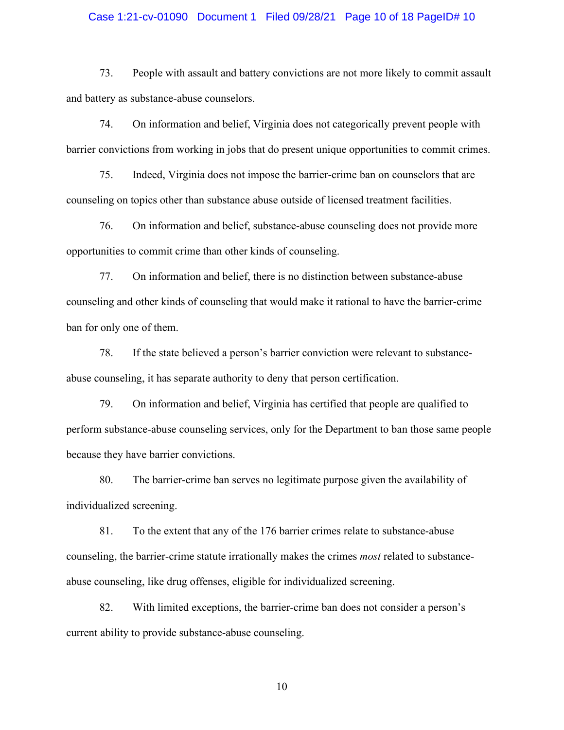#### Case 1:21-cv-01090 Document 1 Filed 09/28/21 Page 10 of 18 PageID# 10

73. People with assault and battery convictions are not more likely to commit assault and battery as substance-abuse counselors.

74. On information and belief, Virginia does not categorically prevent people with barrier convictions from working in jobs that do present unique opportunities to commit crimes.

75. Indeed, Virginia does not impose the barrier-crime ban on counselors that are counseling on topics other than substance abuse outside of licensed treatment facilities.

76. On information and belief, substance-abuse counseling does not provide more opportunities to commit crime than other kinds of counseling.

77. On information and belief, there is no distinction between substance-abuse counseling and other kinds of counseling that would make it rational to have the barrier-crime ban for only one of them.

78. If the state believed a person's barrier conviction were relevant to substanceabuse counseling, it has separate authority to deny that person certification.

79. On information and belief, Virginia has certified that people are qualified to perform substance-abuse counseling services, only for the Department to ban those same people because they have barrier convictions.

80. The barrier-crime ban serves no legitimate purpose given the availability of individualized screening.

81. To the extent that any of the 176 barrier crimes relate to substance-abuse counseling, the barrier-crime statute irrationally makes the crimes *most* related to substanceabuse counseling, like drug offenses, eligible for individualized screening.

82. With limited exceptions, the barrier-crime ban does not consider a person's current ability to provide substance-abuse counseling.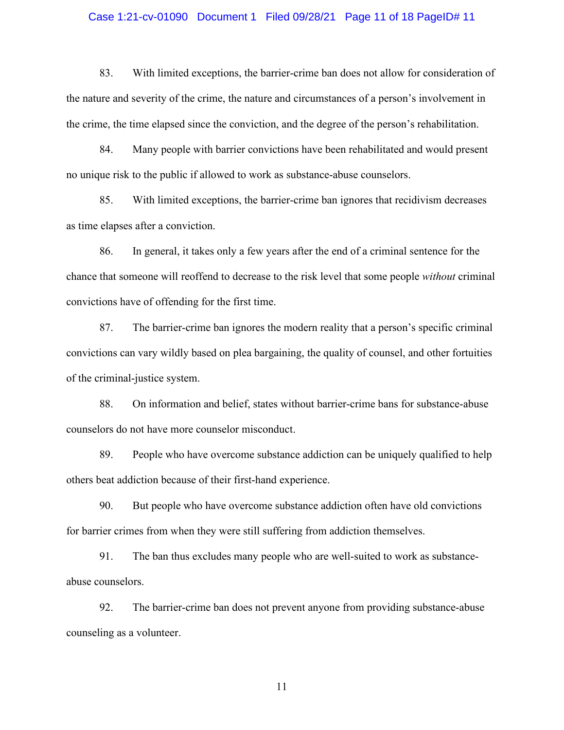#### Case 1:21-cv-01090 Document 1 Filed 09/28/21 Page 11 of 18 PageID# 11

83. With limited exceptions, the barrier-crime ban does not allow for consideration of the nature and severity of the crime, the nature and circumstances of a person's involvement in the crime, the time elapsed since the conviction, and the degree of the person's rehabilitation.

84. Many people with barrier convictions have been rehabilitated and would present no unique risk to the public if allowed to work as substance-abuse counselors.

85. With limited exceptions, the barrier-crime ban ignores that recidivism decreases as time elapses after a conviction.

86. In general, it takes only a few years after the end of a criminal sentence for the chance that someone will reoffend to decrease to the risk level that some people *without* criminal convictions have of offending for the first time.

87. The barrier-crime ban ignores the modern reality that a person's specific criminal convictions can vary wildly based on plea bargaining, the quality of counsel, and other fortuities of the criminal-justice system.

88. On information and belief, states without barrier-crime bans for substance-abuse counselors do not have more counselor misconduct.

89. People who have overcome substance addiction can be uniquely qualified to help others beat addiction because of their first-hand experience.

90. But people who have overcome substance addiction often have old convictions for barrier crimes from when they were still suffering from addiction themselves.

91. The ban thus excludes many people who are well-suited to work as substanceabuse counselors.

92. The barrier-crime ban does not prevent anyone from providing substance-abuse counseling as a volunteer.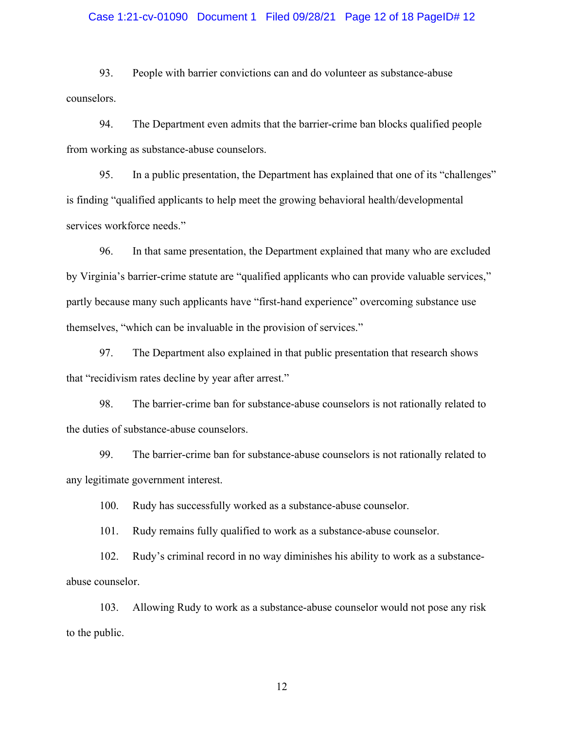#### Case 1:21-cv-01090 Document 1 Filed 09/28/21 Page 12 of 18 PageID# 12

93. People with barrier convictions can and do volunteer as substance-abuse counselors.

94. The Department even admits that the barrier-crime ban blocks qualified people from working as substance-abuse counselors.

95. In a public presentation, the Department has explained that one of its "challenges" is finding "qualified applicants to help meet the growing behavioral health/developmental services workforce needs."

96. In that same presentation, the Department explained that many who are excluded by Virginia's barrier-crime statute are "qualified applicants who can provide valuable services," partly because many such applicants have "first-hand experience" overcoming substance use themselves, "which can be invaluable in the provision of services."

97. The Department also explained in that public presentation that research shows that "recidivism rates decline by year after arrest."

98. The barrier-crime ban for substance-abuse counselors is not rationally related to the duties of substance-abuse counselors.

99. The barrier-crime ban for substance-abuse counselors is not rationally related to any legitimate government interest.

100. Rudy has successfully worked as a substance-abuse counselor.

101. Rudy remains fully qualified to work as a substance-abuse counselor.

102. Rudy's criminal record in no way diminishes his ability to work as a substanceabuse counselor.

103. Allowing Rudy to work as a substance-abuse counselor would not pose any risk to the public.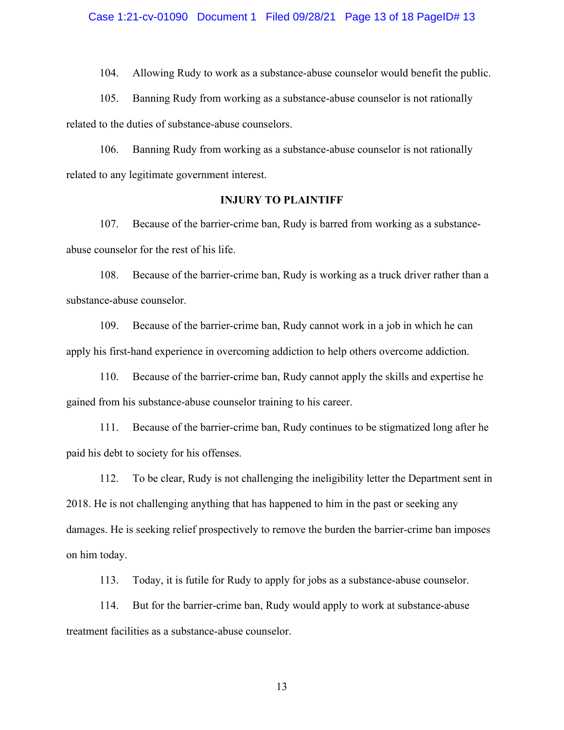104. Allowing Rudy to work as a substance-abuse counselor would benefit the public.

105. Banning Rudy from working as a substance-abuse counselor is not rationally related to the duties of substance-abuse counselors.

106. Banning Rudy from working as a substance-abuse counselor is not rationally related to any legitimate government interest.

### **INJURY TO PLAINTIFF**

107. Because of the barrier-crime ban, Rudy is barred from working as a substanceabuse counselor for the rest of his life.

108. Because of the barrier-crime ban, Rudy is working as a truck driver rather than a substance-abuse counselor.

109. Because of the barrier-crime ban, Rudy cannot work in a job in which he can apply his first-hand experience in overcoming addiction to help others overcome addiction.

110. Because of the barrier-crime ban, Rudy cannot apply the skills and expertise he gained from his substance-abuse counselor training to his career.

111. Because of the barrier-crime ban, Rudy continues to be stigmatized long after he paid his debt to society for his offenses.

112. To be clear, Rudy is not challenging the ineligibility letter the Department sent in 2018. He is not challenging anything that has happened to him in the past or seeking any damages. He is seeking relief prospectively to remove the burden the barrier-crime ban imposes on him today.

113. Today, it is futile for Rudy to apply for jobs as a substance-abuse counselor.

114. But for the barrier-crime ban, Rudy would apply to work at substance-abuse treatment facilities as a substance-abuse counselor.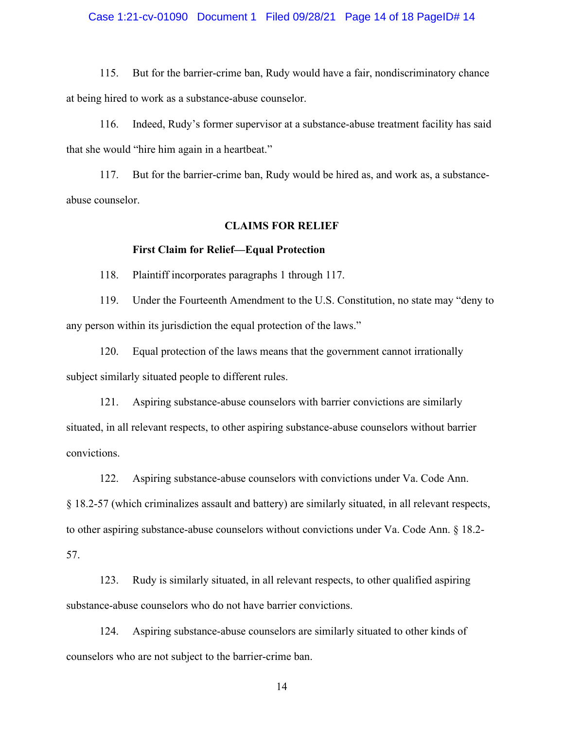#### Case 1:21-cv-01090 Document 1 Filed 09/28/21 Page 14 of 18 PageID# 14

115. But for the barrier-crime ban, Rudy would have a fair, nondiscriminatory chance at being hired to work as a substance-abuse counselor.

116. Indeed, Rudy's former supervisor at a substance-abuse treatment facility has said that she would "hire him again in a heartbeat."

117. But for the barrier-crime ban, Rudy would be hired as, and work as, a substanceabuse counselor.

#### **CLAIMS FOR RELIEF**

#### **First Claim for Relief—Equal Protection**

118. Plaintiff incorporates paragraphs [1](#page-1-0) through 117.

119. Under the Fourteenth Amendment to the U.S. Constitution, no state may "deny to any person within its jurisdiction the equal protection of the laws."

120. Equal protection of the laws means that the government cannot irrationally subject similarly situated people to different rules.

121. Aspiring substance-abuse counselors with barrier convictions are similarly situated, in all relevant respects, to other aspiring substance-abuse counselors without barrier convictions.

122. Aspiring substance-abuse counselors with convictions under Va. Code Ann.

§ 18.2-57 (which criminalizes assault and battery) are similarly situated, in all relevant respects,

to other aspiring substance-abuse counselors without convictions under Va. Code Ann. § 18.2-

57.

123. Rudy is similarly situated, in all relevant respects, to other qualified aspiring substance-abuse counselors who do not have barrier convictions.

124. Aspiring substance-abuse counselors are similarly situated to other kinds of counselors who are not subject to the barrier-crime ban.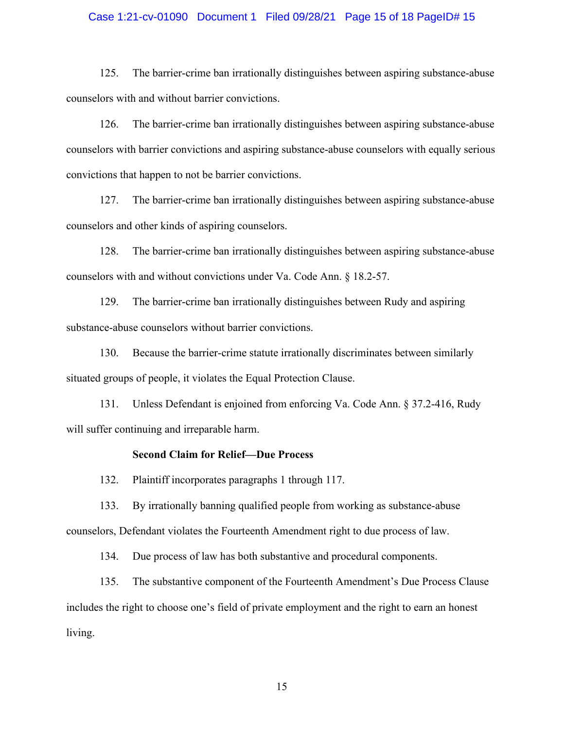#### Case 1:21-cv-01090 Document 1 Filed 09/28/21 Page 15 of 18 PageID# 15

125. The barrier-crime ban irrationally distinguishes between aspiring substance-abuse counselors with and without barrier convictions.

126. The barrier-crime ban irrationally distinguishes between aspiring substance-abuse counselors with barrier convictions and aspiring substance-abuse counselors with equally serious convictions that happen to not be barrier convictions.

127. The barrier-crime ban irrationally distinguishes between aspiring substance-abuse counselors and other kinds of aspiring counselors.

128. The barrier-crime ban irrationally distinguishes between aspiring substance-abuse counselors with and without convictions under Va. Code Ann. § 18.2-57.

129. The barrier-crime ban irrationally distinguishes between Rudy and aspiring substance-abuse counselors without barrier convictions.

130. Because the barrier-crime statute irrationally discriminates between similarly situated groups of people, it violates the Equal Protection Clause.

131. Unless Defendant is enjoined from enforcing Va. Code Ann. § 37.2-416, Rudy will suffer continuing and irreparable harm.

#### **Second Claim for Relief—Due Process**

132. Plaintiff incorporates paragraphs 1 through 117.

133. By irrationally banning qualified people from working as substance-abuse counselors, Defendant violates the Fourteenth Amendment right to due process of law.

134. Due process of law has both substantive and procedural components.

135. The substantive component of the Fourteenth Amendment's Due Process Clause includes the right to choose one's field of private employment and the right to earn an honest living.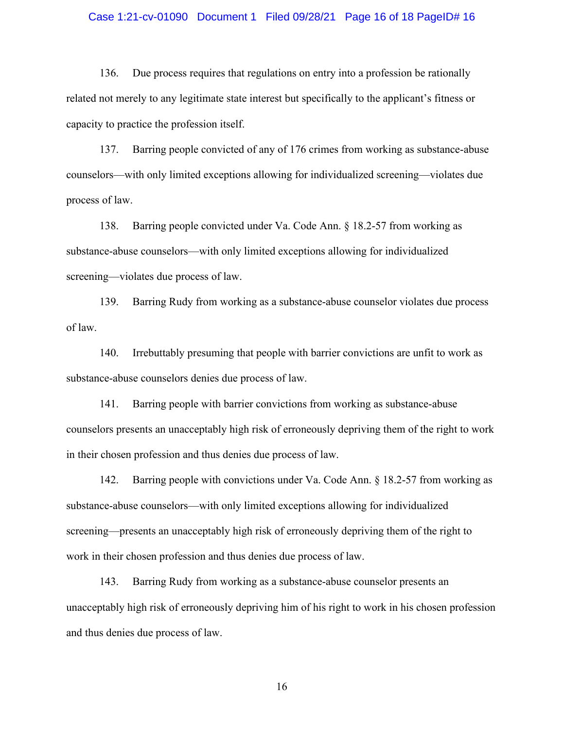#### Case 1:21-cv-01090 Document 1 Filed 09/28/21 Page 16 of 18 PageID# 16

136. Due process requires that regulations on entry into a profession be rationally related not merely to any legitimate state interest but specifically to the applicant's fitness or capacity to practice the profession itself.

137. Barring people convicted of any of 176 crimes from working as substance-abuse counselors—with only limited exceptions allowing for individualized screening—violates due process of law.

138. Barring people convicted under Va. Code Ann. § 18.2-57 from working as substance-abuse counselors—with only limited exceptions allowing for individualized screening—violates due process of law.

139. Barring Rudy from working as a substance-abuse counselor violates due process of law.

140. Irrebuttably presuming that people with barrier convictions are unfit to work as substance-abuse counselors denies due process of law.

141. Barring people with barrier convictions from working as substance-abuse counselors presents an unacceptably high risk of erroneously depriving them of the right to work in their chosen profession and thus denies due process of law.

142. Barring people with convictions under Va. Code Ann. § 18.2-57 from working as substance-abuse counselors—with only limited exceptions allowing for individualized screening—presents an unacceptably high risk of erroneously depriving them of the right to work in their chosen profession and thus denies due process of law.

143. Barring Rudy from working as a substance-abuse counselor presents an unacceptably high risk of erroneously depriving him of his right to work in his chosen profession and thus denies due process of law.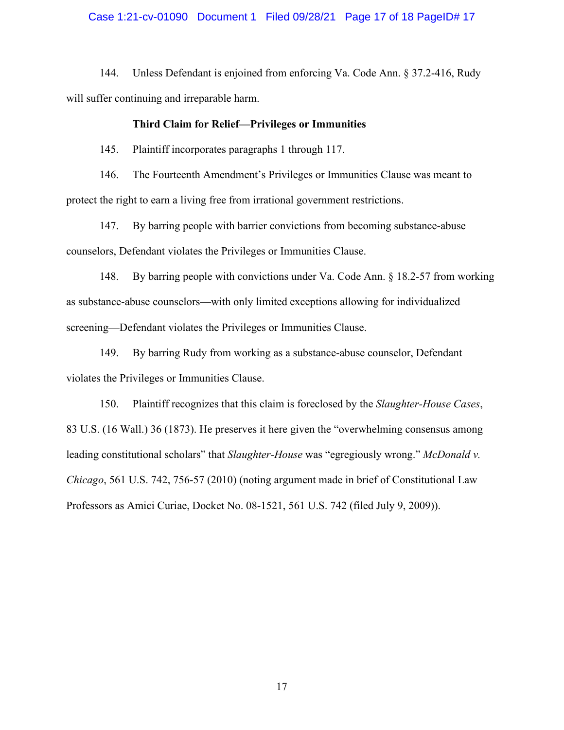#### Case 1:21-cv-01090 Document 1 Filed 09/28/21 Page 17 of 18 PageID# 17

144. Unless Defendant is enjoined from enforcing Va. Code Ann. § 37.2-416, Rudy will suffer continuing and irreparable harm.

#### **Third Claim for Relief—Privileges or Immunities**

145. Plaintiff incorporates paragraphs 1 through 117.

146. The Fourteenth Amendment's Privileges or Immunities Clause was meant to protect the right to earn a living free from irrational government restrictions.

147. By barring people with barrier convictions from becoming substance-abuse counselors, Defendant violates the Privileges or Immunities Clause.

148. By barring people with convictions under Va. Code Ann. § 18.2-57 from working as substance-abuse counselors—with only limited exceptions allowing for individualized screening—Defendant violates the Privileges or Immunities Clause.

149. By barring Rudy from working as a substance-abuse counselor, Defendant violates the Privileges or Immunities Clause.

150. Plaintiff recognizes that this claim is foreclosed by the *Slaughter-House Cases*, 83 U.S. (16 Wall.) 36 (1873). He preserves it here given the "overwhelming consensus among leading constitutional scholars" that *Slaughter-House* was "egregiously wrong." *McDonald v. Chicago*, 561 U.S. 742, 756-57 (2010) (noting argument made in brief of Constitutional Law Professors as Amici Curiae, Docket No. 08-1521, 561 U.S. 742 (filed July 9, 2009)).